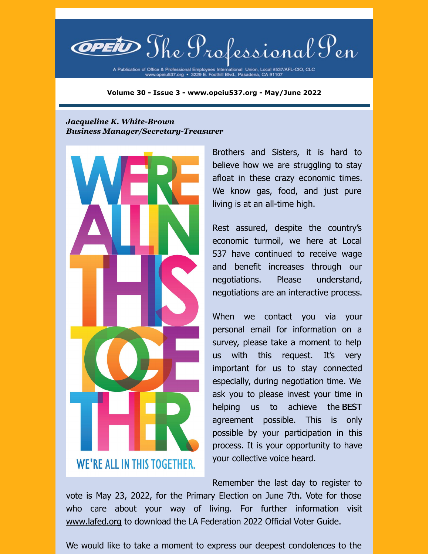**@petiD** The Professional Pen

A Publication of Office & Professional Employees International Union, Local #537/AFL-CIO, CLC<br>www.opeiu537.org • 3229 E. Foothill Blvd., Pasadena, CA 91107

**Volume 30 - Issue 3 - www.opeiu537.org - May/June 2022**

#### *Jacqueline K. White-Brown Business Manager/Secretary-Treasurer*



Brothers and Sisters, it is hard to believe how we are struggling to stay afloat in these crazy economic times. We know gas, food, and just pure living is at an all-time high.

Rest assured, despite the country's economic turmoil, we here at Local 537 have continued to receive wage and benefit increases through our negotiations. Please understand, negotiations are an interactive process.

When we contact you via your personal email for information on a survey, please take a moment to help us with this request. It's very important for us to stay connected especially, during negotiation time. We ask you to please invest your time in helping us to achieve the BEST agreement possible. This is only possible by your participation in this process. It is your opportunity to have your collective voice heard.

Remember the last day to register to

vote is May 23, 2022, for the Primary Election on June 7th. Vote for those who care about your way of living. For further information visit [www.lafed.org](https://thelafed.org/) to download the LA Federation 2022 Official Voter Guide.

We would like to take a moment to express our deepest condolences to the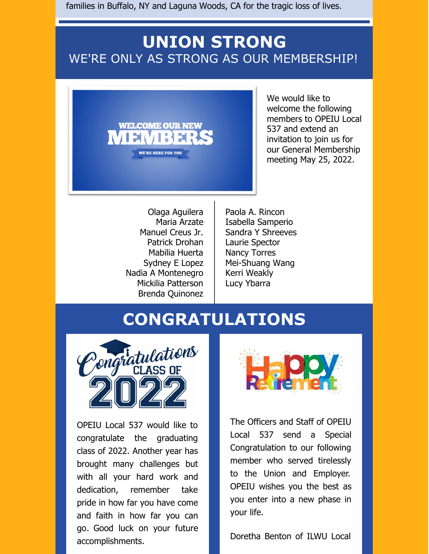families in Buffalo, NY and Laguna Woods, CA for the tragic loss of lives.

## **UNION STRONG** WE'RE ONLY AS STRONG AS OUR MEMBERSHIP!



We would like to welcome the following members to OPEIU Local 537 and extend an invitation to join us for our General Membership meeting May 25, 2022.

Olaga Aguilera Maria Arzate Manuel Creus Jr. Patrick Drohan Mabilia Huerta Sydney E Lopez Nadia A Montenegro Mickilia Patterson Brenda Quinonez

Paola A. Rincon Isabella Samperio Sandra Y Shreeves Laurie Spector Nancy Torres Mei-Shuang Wang Kerri Weakly Lucy Ybarra

## **CONGRATULATIONS**



OPEIU Local 537 would like to congratulate the graduating class of 2022. Another year has brought many challenges but with all your hard work and dedication, remember take pride in how far you have come and faith in how far you can go. Good luck on your future accomplishments.



The Officers and Staff of OPEIU Local 537 send a Special Congratulation to our following member who served tirelessly to the Union and Employer. OPEIU wishes you the best as you enter into a new phase in your life.

Doretha Benton of ILWU Local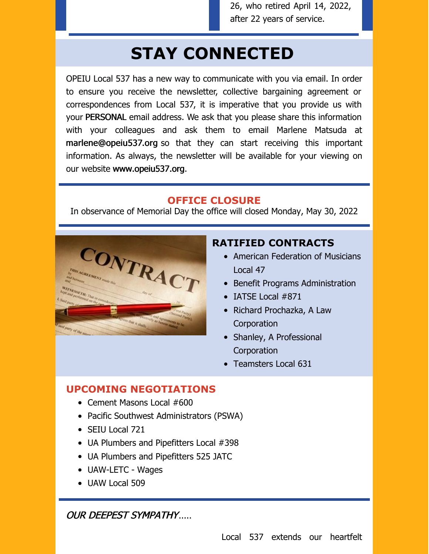26, who retired April 14, 2022, after 22 years of service.

# **STAY CONNECTED**

OPEIU Local 537 has a new way to communicate with you via email. In order to ensure you receive the newsletter, collective bargaining agreement or correspondences from Local 537, it is imperative that you provide us with your PERSONAL email address. We ask that you please share this information with your colleagues and ask them to email Marlene Matsuda at marlene@opeiu537.org so that they can start receiving this important information. As always, the newsletter will be available for your viewing on our website www.opeiu537.org.

#### **OFFICE CLOSURE**

In observance of Memorial Day the office will closed Monday, May 30, 2022



### **RATIFIED CONTRACTS**

- American Federation of Musicians Local 47
- Benefit Programs Administration
- IATSE Local #871
- Richard Prochazka, A Law **Corporation**
- Shanley, A Professional **Corporation**
- Teamsters Local 631

#### **UPCOMING NEGOTIATIONS**

- Cement Masons Local #600
- Pacific Southwest Administrators (PSWA)
- SEIU Local 721
- UA Plumbers and Pipefitters Local #398
- UA Plumbers and Pipefitters 525 JATC
- UAW-LETC Wages
- UAW Local 509

OUR DEEPEST SYMPATHY.....